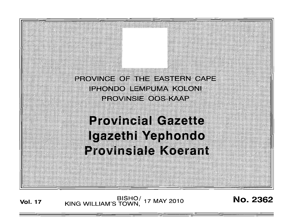Peoving = 0 = 1 = - Ast= PN 0AP = IPHONDO ILIMPUMA KOLONI PROVINSIE OOS-KAAP

# **Provincial Gazette** Igazethi Yephondo **Provinsiale Koerant**

BISHO/ 17 MAY 2010<br>KING WILLIAM'S TOWN, 17 MAY 2010

No. 2362

**Vol. 17**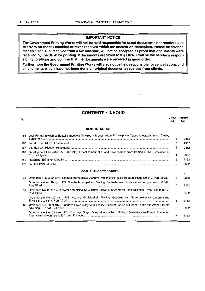# **IMPORTANT NOTICE**

**The Government Printing Works will not be held responsible for faxed documents not received due to errors on the fax machine or faxes received which are unclear or incomplete. Please be advised that an "OK" Slip, received from a fax machine, will not be accepted as proof that documents were received by the GPW for printing. If documents are faxed to the GPW it will be the sender's responsibility to phone and confirm that the documents were received in good order.** 

**Furthermore the Government Printing Works will also not be held responsible for cancellations and amendments which have not been done on original documents received from clients.** 

# **CONTENTS ·INHOUD**

| No.                            |                                                                                                                   | Page<br>No. | Gazette<br>No. |
|--------------------------------|-------------------------------------------------------------------------------------------------------------------|-------------|----------------|
|                                | <b>GENERAL NOTICES</b>                                                                                            |             |                |
|                                | 165 Less Formal Townships Establishment Act (113/1991): Mbhashe Local Municipality: Township establishment: Cwebe | 3           | 2362           |
| 166                            |                                                                                                                   | 3           | 2362           |
| 167                            |                                                                                                                   | 3           | 2362           |
| 168                            | Development Facilitation Act (67/1995): Establishment of a land development area: Portion of the Remainder of     | 4           | 2362           |
| 169                            |                                                                                                                   | 5           | 2362           |
| 170                            |                                                                                                                   | 5           | 2362           |
| <b>LOCAL AUTHORITY NOTICES</b> |                                                                                                                   |             | $\sqrt{2}$     |
| 58                             | Ordinance No. 20 of 1974: Niambe Municipality: Closure: Portion of Ferndale Road adjoining Erf 849, Port Alfred   | 5           | 2362           |
|                                | Ordonnansie No. 20 van 1974: Nlambe Munisipaliteit: Sluiting: Gedeelte van Ferndalestraat aangrensend Erf 849,    | 6           | 2362           |
| 59                             | Ordinance No. 20 of 1974: Nlambe Municipality: Closure: Portion of St Andrews Road adjoining Erven 6810 to 6817,  | 6           | 2362           |
|                                | Ordonnansie No. 20 van 1974: Nlambe Munisipaliteit: Sluiting: Gedeelte van St Andrewstraat aangrensend            | 6           | 2362           |
| 60                             | Ordinance No. 20 of 1974: Sundays River Valley Municipality: Closure: Portion of Fisant, Loerie and Arend Streets | 6           | 2362           |
|                                | Ordonnansie No. 20 van 1974: Sundays River Valley Munisipaliteit: Sluiting: Gedeelte van Fisant, Loerie en        | 7           | 2362           |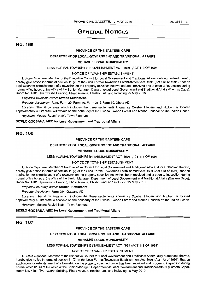# **GENERAL NOTICES**

# No. 165

#### **PROVINCE OF THE EASTERN CAPE**

#### **DEPARTMENT OF LOCAL GOVERNMENT AND TRADITIONAL AFFAIRS**

#### **MBHASHE LOCAL MUNICIPALITY**

LESS FORMAL TOWNSHIPS ESTABLISHMENT ACT, 1991 (ACT 113 OF 1991)

#### NOTICE OF TOWNSHIP ESTABLISHMENT

I, Sicelo Gqobana, Member of the Executive Council for Local Government and Traditional Affairs, duly authorised thereto, hereby give notice in terms of section 11 (2) of the Less Formal Townships Establishment Act, 1991 (Act 113 of 1991), that an application for establishment of a township on the property specified below has been received and is open to inspection during normal office hours at the office of the Senior Manager: Department of Local Government and Traditional Affairs (Eastern Cape), Room No. 4181, Tyamzashe Building, Phalo Avenue, Bhisho, until and including 25 May 2010.

#### Proposed township name: **Cwebe Settlement.**

Property description: Rem. Farm 29, Farm 30, Farm 31 & Farm 50, Xhora AD.

Location: The study area which includes the three settlements known as Cwebe, Hlobeni and Ntubeni is located approximately 40 km from Willowvale on the boundary of the Dwesa--Cwebe Forest and Marine Reserve on the Indian Ocean. Applicant: Messrs Radloff Naidu Town Planners.

**SICELO GQOBANA, MEC for Local Government and Traditional Affairs** 

# No. 166

## **PROVINCE OF THE EASTERN CAPE**

#### **DEPARTMENT OF LOCAL GOVERNMENT AND TRADITIONAL AFFAIRS**

#### **MBHASHE LOCAL MUNICIPALITY**

#### LESS FORMAL TOWNSHIPS ESTABLISHMENT ACT, 1991 (ACT 113 OF 1991)

#### NOTICE OF TOWNSHIP ESTABLISHMENT

I, Sicelo Gqobana, Member of the Executive Council for Local Government and Traditional Affairs, duly authorised thereto, hereby give notice in terms of section 11 (2) of the Less Formal Townships Establishment Act, 1991 (Act 113 of 1991), that an application for establishment of a township on the property specified below has been received and is open to inspection during normal office hours at the office of the Senior Manager: Department of Local Government and Traditional Affairs (Eastern Cape), Room No. 4181, Tyamzashe Building, Phalo Avenue, Bhisho, until and including 25 May 2010.

#### Proposed township name: **Ntubeni Settlement.**

Property description: Farm 294, Gatyana AD.

Location: The study area which includes the three settlements known as Cwebe, Hlobeni and Ntubeni is located approximately 40 km from Willowvale on the boundary of the Dwesa-Cwebe Forest and Marine Reserve on the Indian Ocean.

Applicant: Messrs Radloff Naidu Town Planners.

#### **SICELO GQOBANA, MEC for Local Government and Traditional Affairs**

# No. 167

## **PROVINCE OF THE EASTERN CAPE**

#### **DEPARTMENT OF LOCAL GOVERNMENT AND TRADITIONAL AFFAIRS**

## **MBHASHE LOCAL MUNICIPALITY**

#### LESS FORMAL TOWNSHIPS ESTABLISHMENT ACT, 1991 (ACT 113 OF 1991)

#### NOTICE OF TOWNSHIP ESTABLISHMENT

I, Sicalo Gqobana, Member of the Executive Council for Local Government and Traditional Affairs, duly authorised thereto, hereby give notice in terms of section 11 (2) of the Less Formal Townships Establishment Act, 1991 (Act 113 of 1991), that an application for establishment of a township on the property specified below has been received and is open to inspection during normal office hours at the office of the Senior Manager: Department of Local Government and Traditional Affairs (Eastern Cape), Room No. 4181, Tyamzashe Building, Phalo Avenue, Bhisho, until and including 25 May 2010.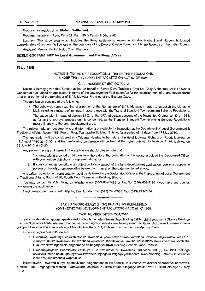# Proposed township name: **Hlobenl Settlement.**

Property description: Rem. Farm 29, Farm 30 & Farm 47, Xhora AD.

Location: The study area which includes the three settlements known as Cwebe. Hlobeni and Ntubeni is located approximately 40 km from Willowvale on the boundary of the Dwesa-Cwebe Forest and Marine Reserve on the Indian Ocean.

Applicant: Messrs Radloff Naidu Town Planners.

## **SICELO GQOBANA, MEC for Local Government and Traditional Affairs**

# No. 168

#### NOTICE IN TERMS OF REGULATION 21 (10) OF THE REGULATIONS UNDER THE DEVELOPMENT FACILITATION ACT, 67 OF 1995

#### CASE NUMBER DT (EC) 007/2010

Notice is hereby given that Setplan acting on behalf of Seven Days Trading 5 (Pty) Ltd, Duly Authorised by the Owners Concerned has lodged an application in terms of the Development Facilitation Act for the establishment of a land development area on a portion of the remainder of Erf 1, Jdutywa, Province of the Eastern Cape.

The application consists of the following:

- The subdivision and rezoning of a portion of the Remainder of Erf 1, Idutywa, in order to establish the Mbhashe Mall, including a mixture of zonings, in accordance with the Transkei Standard Town-planning Scheme Regulations.
- <sup>~</sup>The suspension in terms of section 33 (2) of the DFA, of certain sections of the Townships Ordinance, 33 of 1934, as far as the approval process only is concerned, as the Transkei Standard Town-planning Scheme Regulations must still apply to the land development area.

The relevant plan{s). document(s), and information are available for inspection at the Department of Local Government & Traditional Affairs, Room 4186, Fourth Floor, Tyamzashe Building, Bhisho, for a period of 14 days from 17 May 2010.

The application will be considered at a Tribunal Hearing to be held at the Hotel Idutywa, Richardson Road, Idutywa, on 12 August 2010 at 10h30, and the pre-hearing conference will be held at the Hotel Idutywa, Richardson Road, Idutywa, on 29 July 2010 at 10h30.

Any person having an interest in the application should please note that:

- 1. You may, within a period of 14 days from the date of the publication of this notice, provided the Designated Officer with your written objections or representations; or
- 2. If your comments constitute an objection to any aspect of the land development application, you must appear in person or though a representative before the Tribunal on the date mentioned above.

Any written objection or representation must be delivered to the Designated Officer at the Department of Local Government at Traditional Affairs, Room 4186, Fourth Floor, Tyamzashe Building, Bhisho.

You may contact Mr M.M. Mona on telephone no. (040) 609-5465 or Fax No. (040) 609-5198 if you have any queries concerning the application.

Land development applicant: Setplan, East London. Tel: (043) 743-3883. Fax: (043) 743-7374.

# ISAZISO NGOKOMGAQO 21 (10) PHANTSI KWEMIMMISELO YOMTHETHO WE-DEVELOPMENT FACILITATION ACT, 67 KA 1995

• **• •** 

#### CASE NUMBER DT{EC) 007/2010

Isaziso sikhutshwa ngalompapasho sisithi uSetplan omale I-Seven Days Trading 5 (Pty) Ltd, Bengumnini Okanye Benikwe Imvume Ngabanini Abafanelekileyo bangenise isicelo ngokommiiselo we-Development Facilitation Act ukuze kumiswa indawo yokuphuhlisa kwi-ceba a yena oliceba Elinyintsalela Kwisiza 1, Idutywa, KwiPhondo LaseMpuma Koloni.

Esisicelo siquka oku kulandelayo:

- Ukucanwa kwakunye nokutshintshwa kwendlela youkusetyenziswa komhlaba kwiceba eliyintsalela Yesiza 1, eDutywa, ukuze kwakhiwe Ubhazabhaza wevenkile, ibandakanya umxube wotshintsho lIokusetyenziwa komhlaba Oku kwenziwa ngendlela engqamene nemegaqo ye Town-planning Scheme yase Transkei.
- Ukunqunyanyiswa kwemihlathi ethile ye DFA kwakunye ne Townships Ordinance, 33 (2) ka 1934 malunga nokunzulumene nokukuphunyezwa kwezicelo, njengoko imigaqo yeStandard Town-planning Scheme kusafuneka isebenze kulommandla wophuhliso.

Izicwangwiso, uxwebhu kunye neencukhaca zingafumaneka kwiSebe 10Rhuiumente weMicimbi yezeKhaya nezeMveli, e-otisini 4186, umgangatho wesine, Tyamazashe isakhiwo, eBhisho ithuba elingange ntsuku ezi 14 ukusukela nge 17 May 2010.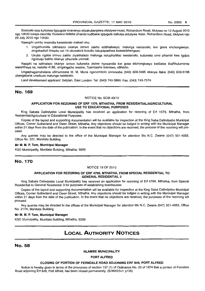Esisicelo siza kuhlolwa ligqugula lovavanyo elizakubanjelwa eldutywa Hotel, Richardson Road, Idutywa ne 12 August 2010 ngo 10h30 kwaye inkomfa Yoviwano Ndlebe phambi kudibane igqugula izakuba eldutywa Hotel, Richardson Road, Idutywa nge 29 July 2010 ngo 10h30.

Nawuphi umntu onomdla kwesisicelo makazi oku:

- 1. Ungathumela izikhalazo okanye izimvo zakho ezibhaliweyo, malunga nesisicelo, kwi g05a elichongiweyo, zingekadluli iintsuku ezi 14 ukusukela kusuku lokupapashwa kwesisibhengezo.
- 2. Ukuba ngaba izimvo zakho ziyakhalazo malunga noluphuhliso Iwesisicelo, kufuneka ume phambi kwa Igqiza ngobuqu bakho okanye uthumele ummeli.

Nasiphi na isikhalazo okanye izimvo kufuneka zisiwe ngesandla kwi gosa elichongiweyo kwiSebe likaRhulumente waseKhaya ne, kwiofisi 4186, umgangatho wesine, Tyamzashe isakhiwo. eBhisho.

Ungaqhagamshelana uMnumzana M. M. Mona ngenombolo yomnxeba (040) 609-5465 okanye ifaksi (040) 609-5198 ubangabana uneibuzo malunga nesisicelo.

Land development applicant: Setplan. East London. Tel: (043) 743-3883. Fax: (043) 743-7374.

# No. 169

## NOTICE No: SCM 43/10

#### APPLICATION FOR REZONING OF ERF 1579, MTHATHA, FROM RESIDENTIAl/AGRICULTURAL USE TO EDUCATIONAL PURPOSES

King Sabata Dalindyebo Local Municipality has received an application for rezoning of Erf 1579, Mthatha, from Resideniial/Agricuiturai to Educationai Purposes.

Copies of the layout and supporting documentation will be available for inspection at the King Saba Dalindyebo Municipal Offices, Corner Sutherland and Owen Street, Mthatha. Any objections should be lodged in writing with the Municipal Manager within 21 days from the date of the publication. In the event that no objections are received, the process of the rezoning will proceed.

Any queries may be directed to the office of the Municipal Manager for attention Ms N.C. Zwane (047) 501-4063, Office No. 221. Munitata Building.

#### Mr M. M. P. Tom, Municipal Manager

KSD Municipality, Munitata Building, Mthatha, 5099

# No. 170

#### NOTICE 19 OF 2010

## APPLICATION FOR REZONING OF ERF 4799, MTHATHA, FROM SPECIAL RESIDENTIAL TO GENERAL RESIDENTIAL 3

King Sabata Dalindyebo Local Municipality has received an application for rezoning of Erf 4799, Mthatha. from Special Residential to General Residential 3 for purposes of establishing townhouses.

Copies of the layout and supporting documentation will be available for inspection at the King Saba Dalindyebo Municipal Offices, Corner Sutherland and Owen Street, Mthatha. Any objections should be lodged in writing with the Municipal Manager within 21 days from the date of the publication. In the event that no objections are received, the purposes of the rezoning will proceed.

Any queries may be directed to the offices of the Municipal Manager for attention Ms N.C. Zwane (047) 501-4063, Office No. 217A, Munitata Building.

#### Mr M. M. P. Tom, Municipal Manager

KSD Municipality, Munitata Building. Mthatha, 5099

# **LOCAL AUTHORITY NOTICES**

No. 58

#### NLAMBE MUNICIPALITY

#### PORT ALFRED

## CLOSING OF PORTION OF FERNDALE ROAD ADJOINING ERF 849, PORT ALFRED

Notice is hereby given in terms of the provisions of section 137 (1) of Ordinance No. 20 of 1974 that a portion of Ferndale Road adjoining Erf 849, Port Alfred. has been closed permanently. (S/4842/5v1 p155)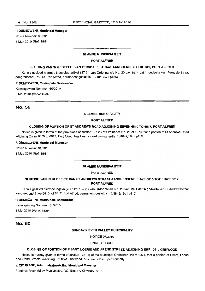#### R DUMEZWENI, Municipal Manager

Notice Number: 60/2010 3 May 2010 (Ref: 15/8)

#### NLAMBE MUNISIPALITEIT

**• •** 

## PORT ALFRED

#### SLUITING VAN 'N GEDEELTE VAN FERNDALE STRAAT AANGRENSEND ERF 849, PORT ALFRED

Kennis geskied hiermee ingevolge artikel 137 (1) van Ordonnansie No. 20 van 1974 dat 'n gedeelte van Ferndale Straat aangrensend Erf 849, Port Alfred, permanent gesluit is. (S/4842/5v1 p155)

#### R DUMEZWENI, Munisipale Bestuurder

Kennisgewing Nommer: 60/2010

3 Mei 2010 (Verw: 15/8)

# No. 59

## NLAMBE MUNICIPALITY

#### PORT ALFRED

## CLOSING OF PORTION OF ST ANDREWS ROAD ADJOINING ERVEN 6810 TO 6817, PORT ALFRED

Notice is given in terms of the provisions of section 137 (1) of Ordinance No. 20 of 1974 that a portion of 8t Andrews Road adjoining Erven 6810 to 6817, Port Alfred, has been closed permanently. (S/4842/19v1 p110)

## R DUMEZWENI, Municipal Manager

Notice Number: 61/2010

3 May 2010 (Ref: 15/8)

# NLAMBE MUNISIPALITEIT

. **- .** 

## PORT ALFRED

# SLUITING VAN 'N GEDEELTE VAN ST ANDREWS STRAAT AANGRENSEND ERWE 6810 TOT ERWE 6817, PORT ALFRED

Kennis geskied hiermee ingevolge artikel 137 (1) van Ordonnansie No. 20 van 1974 dat 'n gedeelte van St Andrewsstraat aangrensend Erwe 6810 tot 6817, Port Alfred, permanent gesluit is. (S/4842/19v1 p110)

## R DUMEZWENI, Munisipale Bestuurder

Kennisgewing Nommer: 61/2010

3 Mei 2010 (Verw: 15/8)

# No. 60

#### SUNDAYS RIVER VALLEY MUNICIPALITY

NOTICE 07/2010

## FINAL CLOSURE

#### CLOSING OF PORTION OF FISANT, LOERIE AND AREND STREET, ADJOINING ERF 1041, KIRKWOOD

Notice is hereby given in terms of section 137 (1) of the Municipal Ordinance, 20 of 1974, that a portion of Fisant, Loerie and Arend Streets, adjoining Erf 1041, Kirkwood, has been closed permanently.

#### V. ZITUMANE, Administrator/Acting Municipal Manager

Sundays River Valley Municipality, P.O. Box 47, Kirkwood, 6120